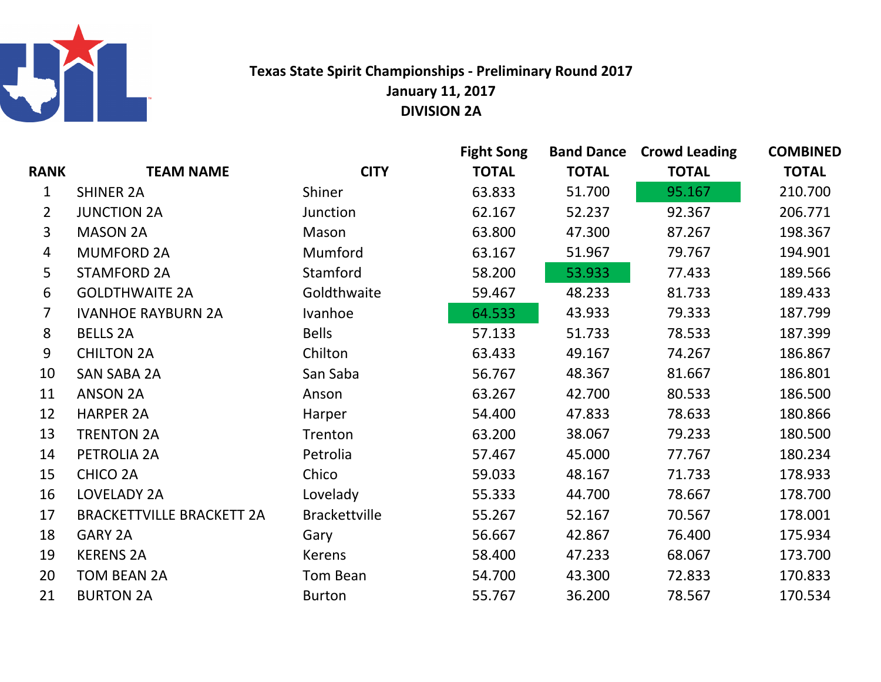

## Texas State Spirit Championships - Preliminary Round 2017January 11, 2017DIVISION 2A

|                |                                  |                      | <b>Fight Song</b> |              | <b>Band Dance Crowd Leading</b> | <b>COMBINED</b> |
|----------------|----------------------------------|----------------------|-------------------|--------------|---------------------------------|-----------------|
| <b>RANK</b>    | <b>TEAM NAME</b>                 | <b>CITY</b>          | <b>TOTAL</b>      | <b>TOTAL</b> | <b>TOTAL</b>                    | <b>TOTAL</b>    |
| 1              | <b>SHINER 2A</b>                 | Shiner               | 63.833            | 51.700       | 95.167                          | 210.700         |
| $\overline{2}$ | <b>JUNCTION 2A</b>               | Junction             | 62.167            | 52.237       | 92.367                          | 206.771         |
| 3              | <b>MASON 2A</b>                  | Mason                | 63.800            | 47.300       | 87.267                          | 198.367         |
| 4              | <b>MUMFORD 2A</b>                | Mumford              | 63.167            | 51.967       | 79.767                          | 194.901         |
| 5              | <b>STAMFORD 2A</b>               | Stamford             | 58.200            | 53.933       | 77.433                          | 189.566         |
| 6              | <b>GOLDTHWAITE 2A</b>            | Goldthwaite          | 59.467            | 48.233       | 81.733                          | 189.433         |
| $\overline{7}$ | <b>IVANHOE RAYBURN 2A</b>        | Ivanhoe              | 64.533            | 43.933       | 79.333                          | 187.799         |
| 8              | <b>BELLS 2A</b>                  | <b>Bells</b>         | 57.133            | 51.733       | 78.533                          | 187.399         |
| 9              | <b>CHILTON 2A</b>                | Chilton              | 63.433            | 49.167       | 74.267                          | 186.867         |
| 10             | <b>SAN SABA 2A</b>               | San Saba             | 56.767            | 48.367       | 81.667                          | 186.801         |
| 11             | <b>ANSON 2A</b>                  | Anson                | 63.267            | 42.700       | 80.533                          | 186.500         |
| 12             | <b>HARPER 2A</b>                 | Harper               | 54.400            | 47.833       | 78.633                          | 180.866         |
| 13             | <b>TRENTON 2A</b>                | Trenton              | 63.200            | 38.067       | 79.233                          | 180.500         |
| 14             | PETROLIA 2A                      | Petrolia             | 57.467            | 45.000       | 77.767                          | 180.234         |
| 15             | CHICO <sub>2A</sub>              | Chico                | 59.033            | 48.167       | 71.733                          | 178.933         |
| 16             | LOVELADY 2A                      | Lovelady             | 55.333            | 44.700       | 78.667                          | 178.700         |
| 17             | <b>BRACKETTVILLE BRACKETT 2A</b> | <b>Brackettville</b> | 55.267            | 52.167       | 70.567                          | 178.001         |
| 18             | <b>GARY 2A</b>                   | Gary                 | 56.667            | 42.867       | 76.400                          | 175.934         |
| 19             | <b>KERENS 2A</b>                 | <b>Kerens</b>        | 58.400            | 47.233       | 68.067                          | 173.700         |
| 20             | <b>TOM BEAN 2A</b>               | Tom Bean             | 54.700            | 43.300       | 72.833                          | 170.833         |
| 21             | <b>BURTON 2A</b>                 | <b>Burton</b>        | 55.767            | 36.200       | 78.567                          | 170.534         |
|                |                                  |                      |                   |              |                                 |                 |